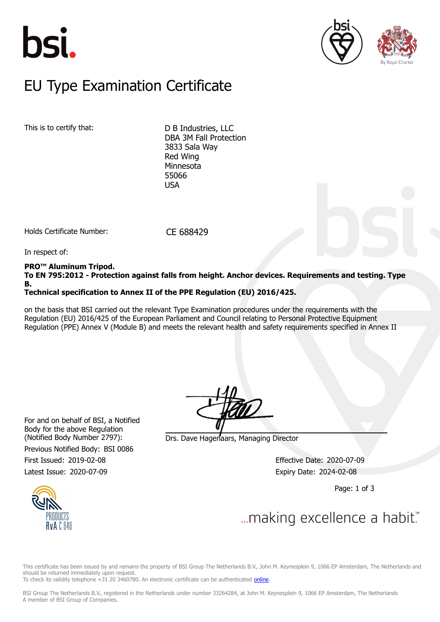





### $E$ U Type Examination Certific EU Type Examination Certificate

This is to certify that: D B Industries, LLC

DBA 3M Fall Protection 3833 Sala Way Red Wing Minnesota 55066 **USA** 

Holds Certificate Number: CE 688429

In respect of:

#### **PRO™ Aluminum Tripod.**

**To EN 795:2012 - Protection against falls from height. Anchor devices. Requirements and testing. Type B.**

### **Technical specification to Annex II of the PPE Regulation (EU) 2016/425.**

on the basis that BSI carried out the relevant Type Examination procedures under the requirements with the Regulation (EU) 2016/425 of the European Parliament and Council relating to Personal Protective Equipment Regulation (PPE) Annex V (Module B) and meets the relevant health and safety requirements specified in Annex II

For and on behalf of BSI, a Notified Body for the above Regulation Previous Notified Body: BSI 0086

First Issued: 2019-02-08 Effective Date: 2020-07-09 Latest Issue: 2020-07-09 **Expiry Date: 2024-02-08** 

(Notified Body Number 2797): Drs. Dave Hagenaars, Managing Director

Page: 1 of 3



This certificate has been issued by and remains the property of BSI Group The Netherlands B.V., John M. Keynesplein 9, 1066 EP Amsterdam, The Netherlands and should be returned immediately upon request.

To check its validity telephone +31 20 3460780. An electronic certificate can be authenticated [online.](https://pgplus.bsigroup.com/CertificateValidation/CertificateValidator.aspx?CertificateNumber=CE+688429&ReIssueDate=09%2f07%2f2020&Template=uk)

BSI Group The Netherlands B.V., registered in the Netherlands under number 33264284, at John M. Keynesplein 9, 1066 EP Amsterdam, The Netherlands A member of BSI Group of Companies.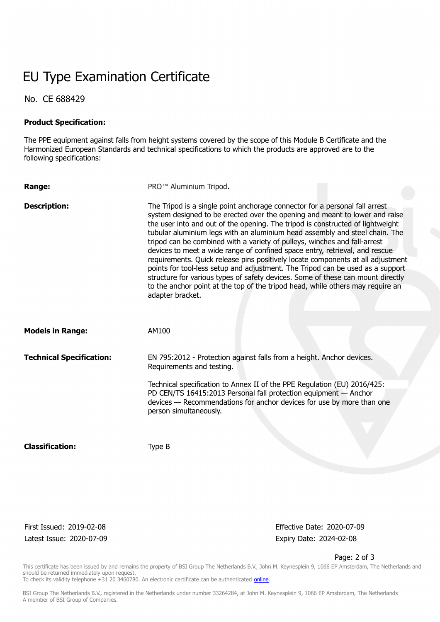## EU Type Examination Certificate

No. CE 688429

#### **Product Specification:**

The PPE equipment against falls from height systems covered by the scope of this Module B Certificate and the Harmonized European Standards and technical specifications to which the products are approved are to the following specifications:

| Range:                          | PRO <sup>™</sup> Aluminium Tripod.                                                                                                                                                                                                                                                                                                                                                                                                                                                                                                                                                                                                                                                                                                                                                                                                                    |
|---------------------------------|-------------------------------------------------------------------------------------------------------------------------------------------------------------------------------------------------------------------------------------------------------------------------------------------------------------------------------------------------------------------------------------------------------------------------------------------------------------------------------------------------------------------------------------------------------------------------------------------------------------------------------------------------------------------------------------------------------------------------------------------------------------------------------------------------------------------------------------------------------|
| <b>Description:</b>             | The Tripod is a single point anchorage connector for a personal fall arrest<br>system designed to be erected over the opening and meant to lower and raise<br>the user into and out of the opening. The tripod is constructed of lightweight<br>tubular aluminium legs with an aluminium head assembly and steel chain. The<br>tripod can be combined with a variety of pulleys, winches and fall-arrest<br>devices to meet a wide range of confined space entry, retrieval, and rescue<br>requirements. Quick release pins positively locate components at all adjustment<br>points for tool-less setup and adjustment. The Tripod can be used as a support<br>structure for various types of safety devices. Some of these can mount directly<br>to the anchor point at the top of the tripod head, while others may require an<br>adapter bracket. |
| <b>Models in Range:</b>         | AM100                                                                                                                                                                                                                                                                                                                                                                                                                                                                                                                                                                                                                                                                                                                                                                                                                                                 |
| <b>Technical Specification:</b> | EN 795:2012 - Protection against falls from a height. Anchor devices.<br>Requirements and testing.                                                                                                                                                                                                                                                                                                                                                                                                                                                                                                                                                                                                                                                                                                                                                    |
|                                 | Technical specification to Annex II of the PPE Regulation (EU) 2016/425:<br>PD CEN/TS 16415:2013 Personal fall protection equipment - Anchor<br>devices - Recommendations for anchor devices for use by more than one<br>person simultaneously.                                                                                                                                                                                                                                                                                                                                                                                                                                                                                                                                                                                                       |
| <b>Classification:</b>          | Type B                                                                                                                                                                                                                                                                                                                                                                                                                                                                                                                                                                                                                                                                                                                                                                                                                                                |

Latest Issue: 2020-07-09 expiry Date: 2024-02-08

First Issued: 2019-02-08 Effective Date: 2020-07-09

Page: 2 of 3

This certificate has been issued by and remains the property of BSI Group The Netherlands B.V., John M. Keynesplein 9, 1066 EP Amsterdam, The Netherlands and should be returned immediately upon request.

To check its validity telephone +31 20 3460780. An electronic certificate can be authenticated *online*.

BSI Group The Netherlands B.V., registered in the Netherlands under number 33264284, at John M. Keynesplein 9, 1066 EP Amsterdam, The Netherlands A member of BSI Group of Companies.